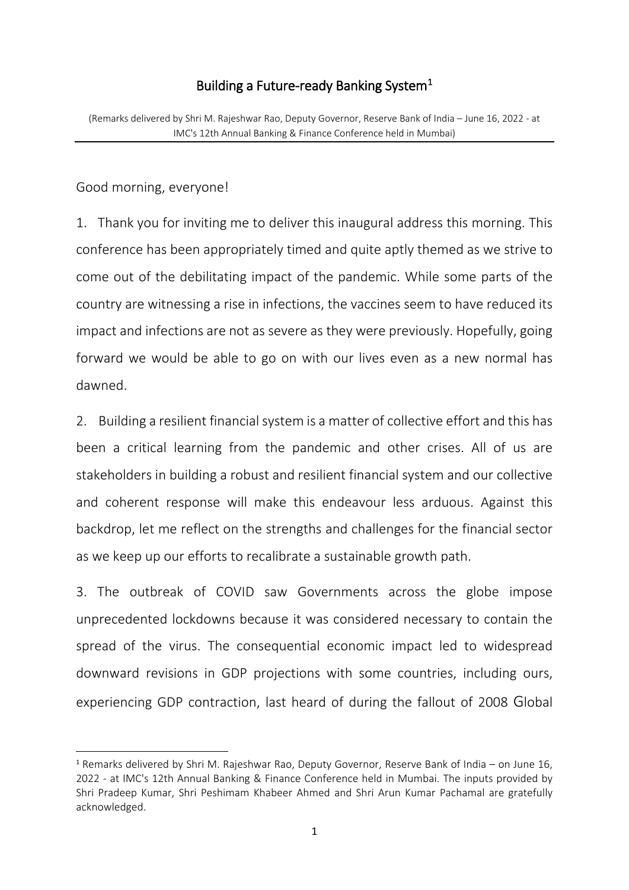# Building a Future-ready Banking System $<sup>1</sup>$  $<sup>1</sup>$  $<sup>1</sup>$ </sup>

(Remarks delivered by Shri M. Rajeshwar Rao, Deputy Governor, Reserve Bank of India – June 16, 2022 - at IMC's 12th Annual Banking & Finance Conference held in Mumbai)

Good morning, everyone!

1. Thank you for inviting me to deliver this inaugural address this morning. This conference has been appropriately timed and quite aptly themed as we strive to come out of the debilitating impact of the pandemic. While some parts of the country are witnessing a rise in infections, the vaccines seem to have reduced its impact and infections are not as severe as they were previously. Hopefully, going forward we would be able to go on with our lives even as a new normal has dawned.

2. Building a resilient financial system is a matter of collective effort and this has been a critical learning from the pandemic and other crises. All of us are stakeholders in building a robust and resilient financial system and our collective and coherent response will make this endeavour less arduous. Against this backdrop, let me reflect on the strengths and challenges for the financial sector as we keep up our efforts to recalibrate a sustainable growth path.

3. The outbreak of COVID saw Governments across the globe impose unprecedented lockdowns because it was considered necessary to contain the spread of the virus. The consequential economic impact led to widespread downward revisions in GDP projections with some countries, including ours, experiencing GDP contraction, last heard of during the fallout of 2008 Global

<span id="page-0-0"></span> <sup>1</sup> Remarks delivered by Shri M. Rajeshwar Rao, Deputy Governor, Reserve Bank of India – on June 16, 2022 - at IMC's 12th Annual Banking & Finance Conference held in Mumbai. The inputs provided by Shri Pradeep Kumar, Shri Peshimam Khabeer Ahmed and Shri Arun Kumar Pachamal are gratefully acknowledged.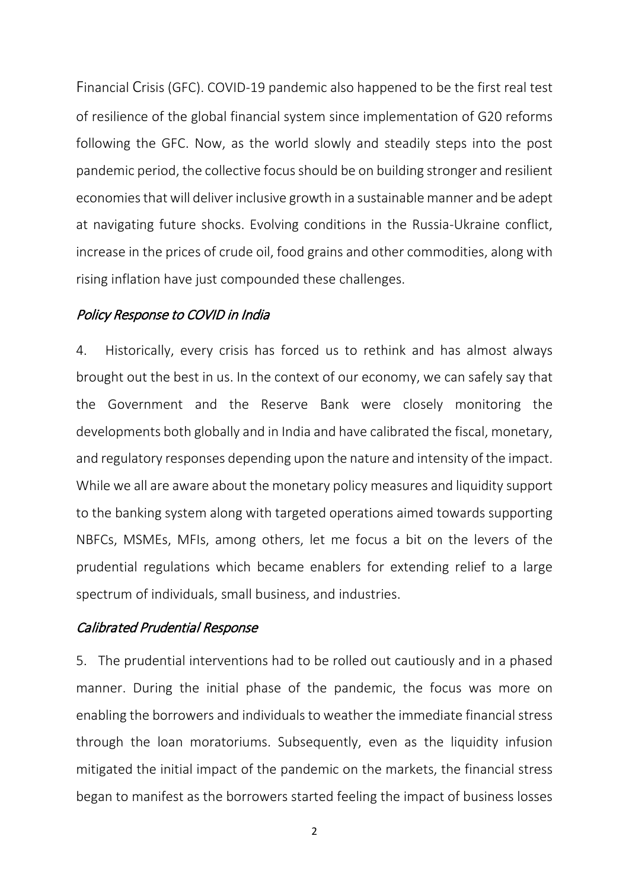Financial Crisis (GFC). COVID-19 pandemic also happened to be the first real test of resilience of the global financial system since implementation of G20 reforms following the GFC. Now, as the world slowly and steadily steps into the post pandemic period, the collective focus should be on building stronger and resilient economies that will deliver inclusive growth in a sustainable manner and be adept at navigating future shocks. Evolving conditions in the Russia-Ukraine conflict, increase in the prices of crude oil, food grains and other commodities, along with rising inflation have just compounded these challenges.

## Policy Response to COVID in India

4. Historically, every crisis has forced us to rethink and has almost always brought out the best in us. In the context of our economy, we can safely say that the Government and the Reserve Bank were closely monitoring the developments both globally and in India and have calibrated the fiscal, monetary, and regulatory responses depending upon the nature and intensity of the impact. While we all are aware about the monetary policy measures and liquidity support to the banking system along with targeted operations aimed towards supporting NBFCs, MSMEs, MFIs, among others, let me focus a bit on the levers of the prudential regulations which became enablers for extending relief to a large spectrum of individuals, small business, and industries.

### Calibrated Prudential Response

5. The prudential interventions had to be rolled out cautiously and in a phased manner. During the initial phase of the pandemic, the focus was more on enabling the borrowers and individuals to weather the immediate financial stress through the loan moratoriums. Subsequently, even as the liquidity infusion mitigated the initial impact of the pandemic on the markets, the financial stress began to manifest as the borrowers started feeling the impact of business losses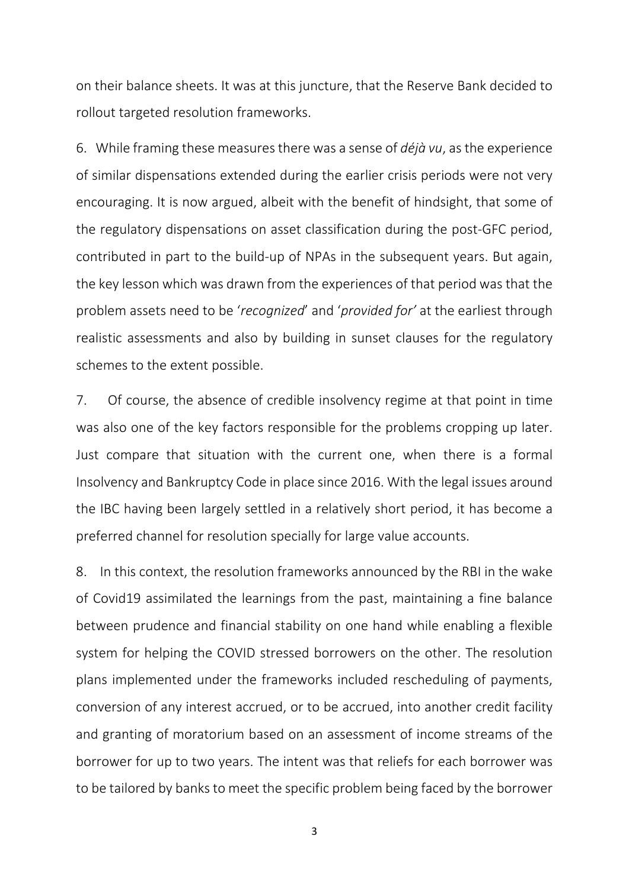on their balance sheets. It was at this juncture, that the Reserve Bank decided to rollout targeted resolution frameworks.

6. While framing these measures there was a sense of *déjà vu*, as the experience of similar dispensations extended during the earlier crisis periods were not very encouraging. It is now argued, albeit with the benefit of hindsight, that some of the regulatory dispensations on asset classification during the post-GFC period, contributed in part to the build-up of NPAs in the subsequent years. But again, the key lesson which was drawn from the experiences of that period was that the problem assets need to be '*recognized*' and '*provided for'* at the earliest through realistic assessments and also by building in sunset clauses for the regulatory schemes to the extent possible.

7. Of course, the absence of credible insolvency regime at that point in time was also one of the key factors responsible for the problems cropping up later. Just compare that situation with the current one, when there is a formal Insolvency and Bankruptcy Code in place since 2016. With the legal issues around the IBC having been largely settled in a relatively short period, it has become a preferred channel for resolution specially for large value accounts.

8. In this context, the resolution frameworks announced by the RBI in the wake of Covid19 assimilated the learnings from the past, maintaining a fine balance between prudence and financial stability on one hand while enabling a flexible system for helping the COVID stressed borrowers on the other. The resolution plans implemented under the frameworks included rescheduling of payments, conversion of any interest accrued, or to be accrued, into another credit facility and granting of moratorium based on an assessment of income streams of the borrower for up to two years. The intent was that reliefs for each borrower was to be tailored by banks to meet the specific problem being faced by the borrower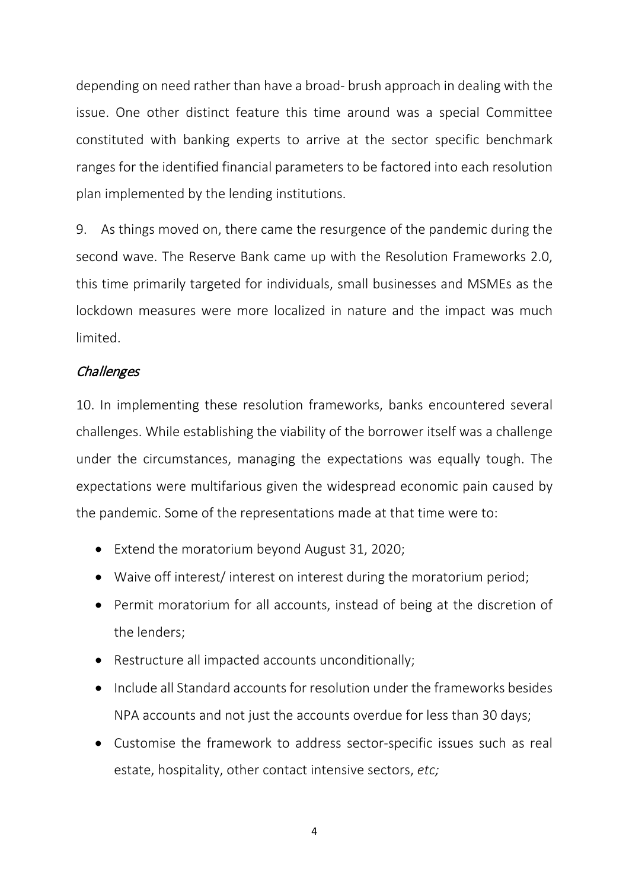depending on need rather than have a broad- brush approach in dealing with the issue. One other distinct feature this time around was a special Committee constituted with banking experts to arrive at the sector specific benchmark ranges for the identified financial parameters to be factored into each resolution plan implemented by the lending institutions.

9. As things moved on, there came the resurgence of the pandemic during the second wave. The Reserve Bank came up with the Resolution Frameworks 2.0, this time primarily targeted for individuals, small businesses and MSMEs as the lockdown measures were more localized in nature and the impact was much limited.

## **Challenges**

10. In implementing these resolution frameworks, banks encountered several challenges. While establishing the viability of the borrower itself was a challenge under the circumstances, managing the expectations was equally tough. The expectations were multifarious given the widespread economic pain caused by the pandemic. Some of the representations made at that time were to:

- Extend the moratorium beyond August 31, 2020;
- Waive off interest/ interest on interest during the moratorium period;
- Permit moratorium for all accounts, instead of being at the discretion of the lenders;
- Restructure all impacted accounts unconditionally;
- Include all Standard accounts for resolution under the frameworks besides NPA accounts and not just the accounts overdue for less than 30 days;
- Customise the framework to address sector-specific issues such as real estate, hospitality, other contact intensive sectors, *etc;*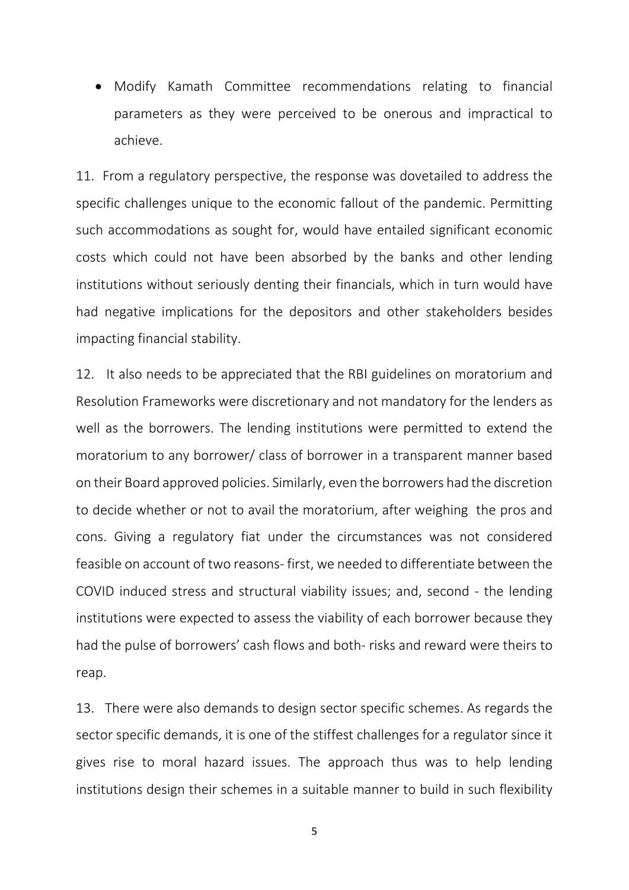• Modify Kamath Committee recommendations relating to financial parameters as they were perceived to be onerous and impractical to achieve.

11. From a regulatory perspective, the response was dovetailed to address the specific challenges unique to the economic fallout of the pandemic. Permitting such accommodations as sought for, would have entailed significant economic costs which could not have been absorbed by the banks and other lending institutions without seriously denting their financials, which in turn would have had negative implications for the depositors and other stakeholders besides impacting financial stability.

12. It also needs to be appreciated that the RBI guidelines on moratorium and Resolution Frameworks were discretionary and not mandatory for the lenders as well as the borrowers. The lending institutions were permitted to extend the moratorium to any borrower/ class of borrower in a transparent manner based on their Board approved policies. Similarly, even the borrowers had the discretion to decide whether or not to avail the moratorium, after weighing the pros and cons. Giving a regulatory fiat under the circumstances was not considered feasible on account of two reasons- first, we needed to differentiate between the COVID induced stress and structural viability issues; and, second - the lending institutions were expected to assess the viability of each borrower because they had the pulse of borrowers' cash flows and both- risks and reward were theirs to reap.

13. There were also demands to design sector specific schemes. As regards the sector specific demands, it is one of the stiffest challenges for a regulator since it gives rise to moral hazard issues. The approach thus was to help lending institutions design their schemes in a suitable manner to build in such flexibility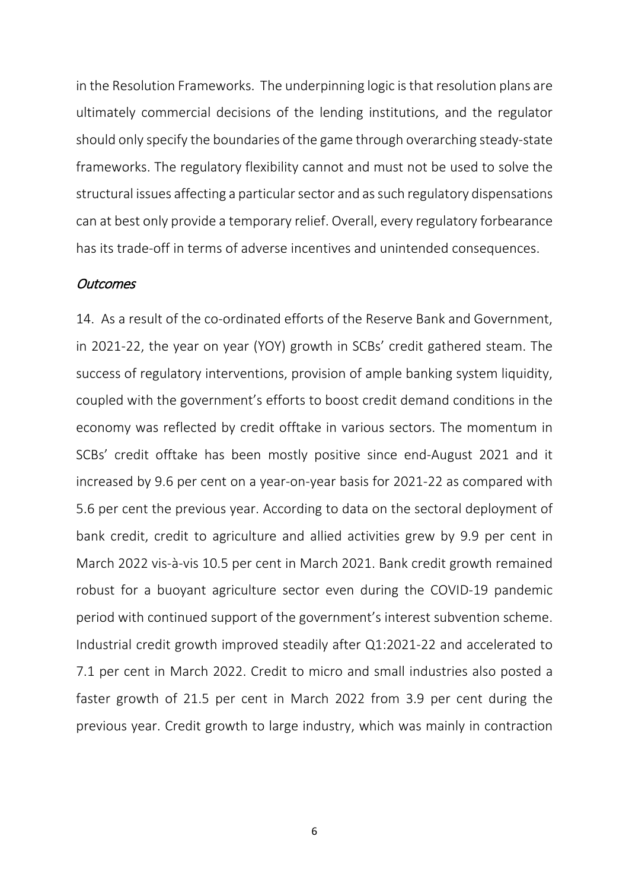in the Resolution Frameworks. The underpinning logic is that resolution plans are ultimately commercial decisions of the lending institutions, and the regulator should only specify the boundaries of the game through overarching steady-state frameworks. The regulatory flexibility cannot and must not be used to solve the structural issues affecting a particular sector and as such regulatory dispensations can at best only provide a temporary relief. Overall, every regulatory forbearance has its trade-off in terms of adverse incentives and unintended consequences.

#### **Outcomes**

14. As a result of the co-ordinated efforts of the Reserve Bank and Government, in 2021-22, the year on year (YOY) growth in SCBs' credit gathered steam. The success of regulatory interventions, provision of ample banking system liquidity, coupled with the government's efforts to boost credit demand conditions in the economy was reflected by credit offtake in various sectors. The momentum in SCBs' credit offtake has been mostly positive since end-August 2021 and it increased by 9.6 per cent on a year-on-year basis for 2021-22 as compared with 5.6 per cent the previous year. According to data on the sectoral deployment of bank credit, credit to agriculture and allied activities grew by 9.9 per cent in March 2022 vis-à-vis 10.5 per cent in March 2021. Bank credit growth remained robust for a buoyant agriculture sector even during the COVID-19 pandemic period with continued support of the government's interest subvention scheme. Industrial credit growth improved steadily after Q1:2021-22 and accelerated to 7.1 per cent in March 2022. Credit to micro and small industries also posted a faster growth of 21.5 per cent in March 2022 from 3.9 per cent during the previous year. Credit growth to large industry, which was mainly in contraction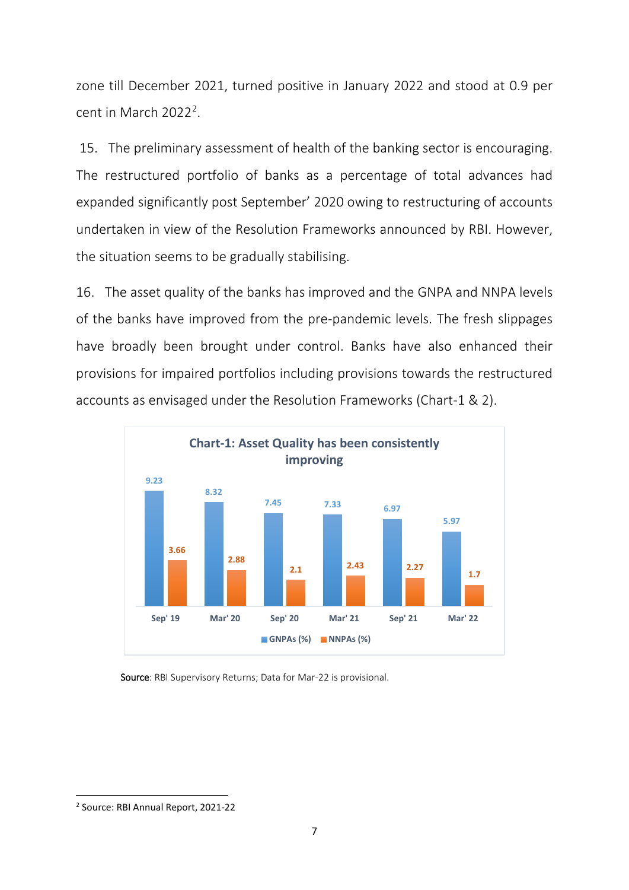zone till December 2021, turned positive in January 2022 and stood at 0.9 per cent in March [2](#page-6-0)022<sup>2</sup>.

15. The preliminary assessment of health of the banking sector is encouraging. The restructured portfolio of banks as a percentage of total advances had expanded significantly post September' 2020 owing to restructuring of accounts undertaken in view of the Resolution Frameworks announced by RBI. However, the situation seems to be gradually stabilising.

16. The asset quality of the banks has improved and the GNPA and NNPA levels of the banks have improved from the pre-pandemic levels. The fresh slippages have broadly been brought under control. Banks have also enhanced their provisions for impaired portfolios including provisions towards the restructured accounts as envisaged under the Resolution Frameworks (Chart-1 & 2).



Source: RBI Supervisory Returns; Data for Mar-22 is provisional.

<span id="page-6-0"></span> <sup>2</sup> Source: RBI Annual Report, 2021-22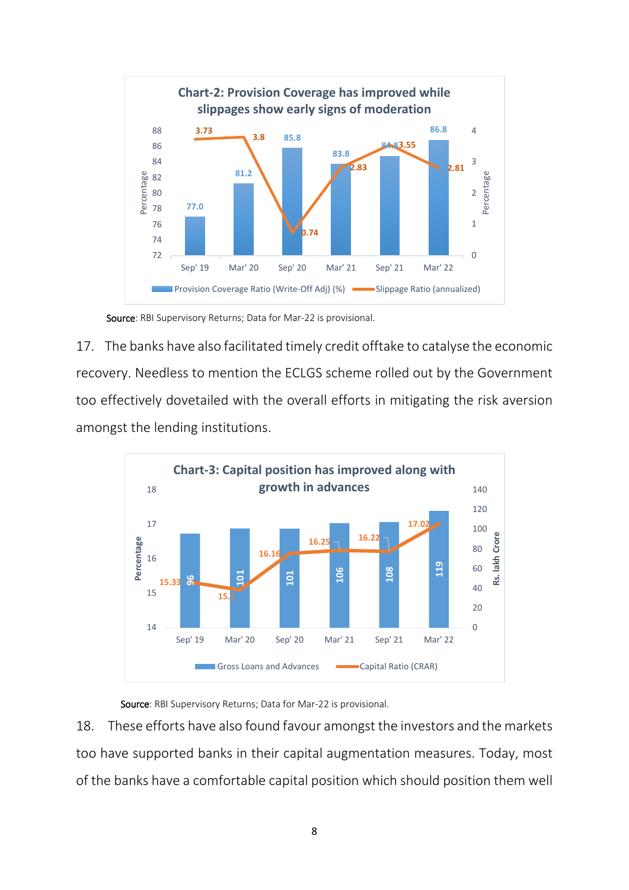

Source: RBI Supervisory Returns; Data for Mar-22 is provisional.

17. The banks have also facilitated timely credit offtake to catalyse the economic recovery. Needless to mention the ECLGS scheme rolled out by the Government too effectively dovetailed with the overall efforts in mitigating the risk aversion amongst the lending institutions.



Source: RBI Supervisory Returns; Data for Mar-22 is provisional.

18. These efforts have also found favour amongst the investors and the markets too have supported banks in their capital augmentation measures. Today, most of the banks have a comfortable capital position which should position them well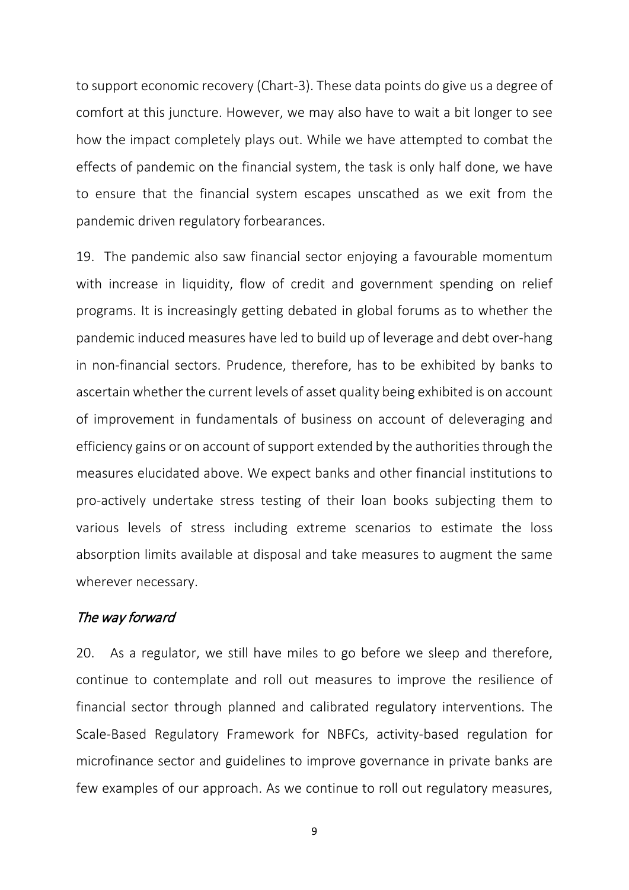to support economic recovery (Chart-3). These data points do give us a degree of comfort at this juncture. However, we may also have to wait a bit longer to see how the impact completely plays out. While we have attempted to combat the effects of pandemic on the financial system, the task is only half done, we have to ensure that the financial system escapes unscathed as we exit from the pandemic driven regulatory forbearances.

19. The pandemic also saw financial sector enjoying a favourable momentum with increase in liquidity, flow of credit and government spending on relief programs. It is increasingly getting debated in global forums as to whether the pandemic induced measures have led to build up of leverage and debt over-hang in non-financial sectors. Prudence, therefore, has to be exhibited by banks to ascertain whether the current levels of asset quality being exhibited is on account of improvement in fundamentals of business on account of deleveraging and efficiency gains or on account of support extended by the authorities through the measures elucidated above. We expect banks and other financial institutions to pro-actively undertake stress testing of their loan books subjecting them to various levels of stress including extreme scenarios to estimate the loss absorption limits available at disposal and take measures to augment the same wherever necessary.

#### The way forward

20. As a regulator, we still have miles to go before we sleep and therefore, continue to contemplate and roll out measures to improve the resilience of financial sector through planned and calibrated regulatory interventions. The Scale-Based Regulatory Framework for NBFCs, activity-based regulation for microfinance sector and guidelines to improve governance in private banks are few examples of our approach. As we continue to roll out regulatory measures,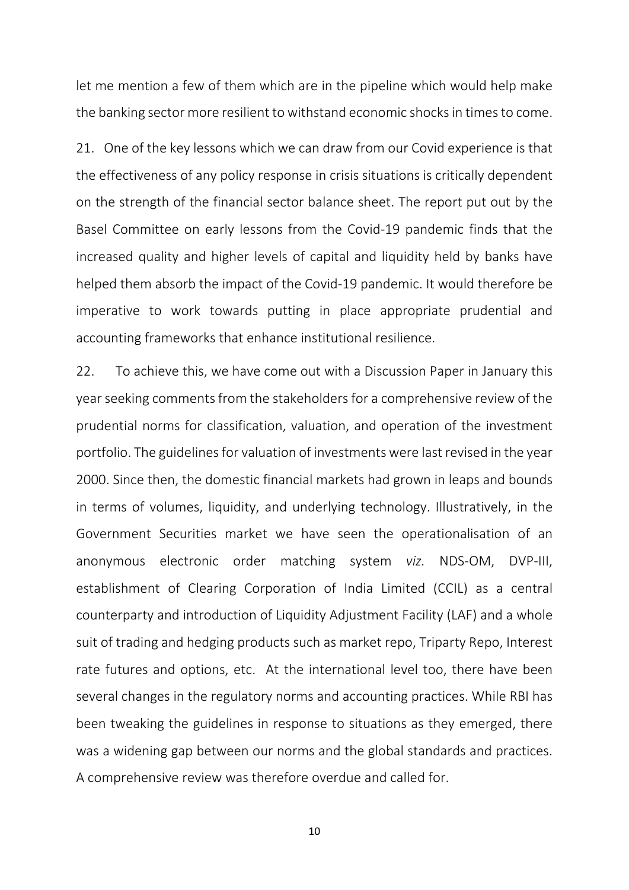let me mention a few of them which are in the pipeline which would help make the banking sector more resilient to withstand economic shocks in times to come.

21. One of the key lessons which we can draw from our Covid experience is that the effectiveness of any policy response in crisis situations is critically dependent on the strength of the financial sector balance sheet. The report put out by the Basel Committee on early lessons from the Covid-19 pandemic finds that the increased quality and higher levels of capital and liquidity held by banks have helped them absorb the impact of the Covid-19 pandemic. It would therefore be imperative to work towards putting in place appropriate prudential and accounting frameworks that enhance institutional resilience.

22. To achieve this, we have come out with a Discussion Paper in January this year seeking comments from the stakeholders for a comprehensive review of the prudential norms for classification, valuation, and operation of the investment portfolio. The guidelines for valuation of investments were last revised in the year 2000. Since then, the domestic financial markets had grown in leaps and bounds in terms of volumes, liquidity, and underlying technology. Illustratively, in the Government Securities market we have seen the operationalisation of an anonymous electronic order matching system *viz.* NDS-OM, DVP-III, establishment of Clearing Corporation of India Limited (CCIL) as a central counterparty and introduction of Liquidity Adjustment Facility (LAF) and a whole suit of trading and hedging products such as market repo, Triparty Repo, Interest rate futures and options, etc. At the international level too, there have been several changes in the regulatory norms and accounting practices. While RBI has been tweaking the guidelines in response to situations as they emerged, there was a widening gap between our norms and the global standards and practices. A comprehensive review was therefore overdue and called for.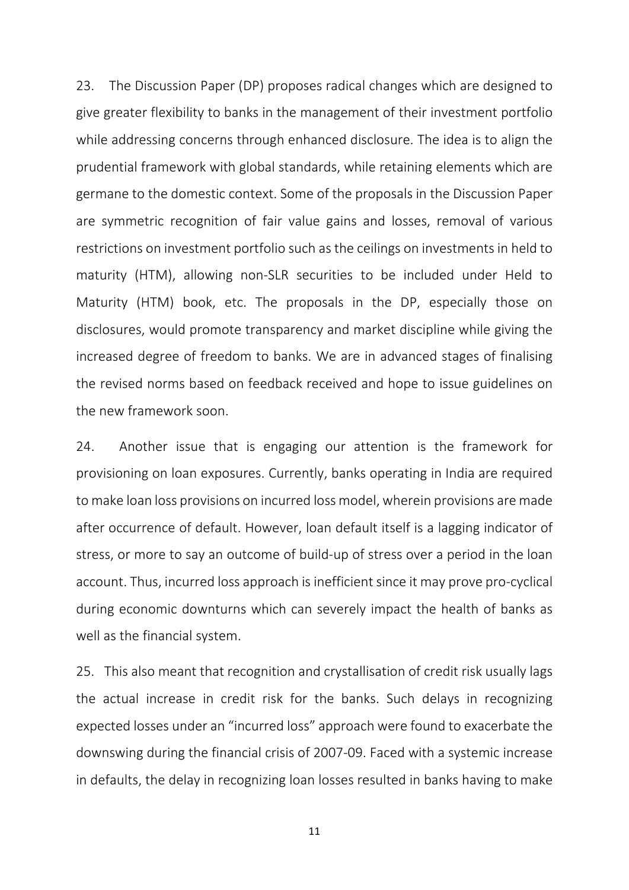23. The Discussion Paper (DP) proposes radical changes which are designed to give greater flexibility to banks in the management of their investment portfolio while addressing concerns through enhanced disclosure. The idea is to align the prudential framework with global standards, while retaining elements which are germane to the domestic context. Some of the proposals in the Discussion Paper are symmetric recognition of fair value gains and losses, removal of various restrictions on investment portfolio such as the ceilings on investments in held to maturity (HTM), allowing non-SLR securities to be included under Held to Maturity (HTM) book, etc. The proposals in the DP, especially those on disclosures, would promote transparency and market discipline while giving the increased degree of freedom to banks. We are in advanced stages of finalising the revised norms based on feedback received and hope to issue guidelines on the new framework soon.

24. Another issue that is engaging our attention is the framework for provisioning on loan exposures. Currently, banks operating in India are required to make loan loss provisions on incurred loss model, wherein provisions are made after occurrence of default. However, loan default itself is a lagging indicator of stress, or more to say an outcome of build-up of stress over a period in the loan account. Thus, incurred loss approach is inefficient since it may prove pro-cyclical during economic downturns which can severely impact the health of banks as well as the financial system.

25. This also meant that recognition and crystallisation of credit risk usually lags the actual increase in credit risk for the banks. Such delays in recognizing expected losses under an "incurred loss" approach were found to exacerbate the downswing during the financial crisis of 2007-09. Faced with a systemic increase in defaults, the delay in recognizing loan losses resulted in banks having to make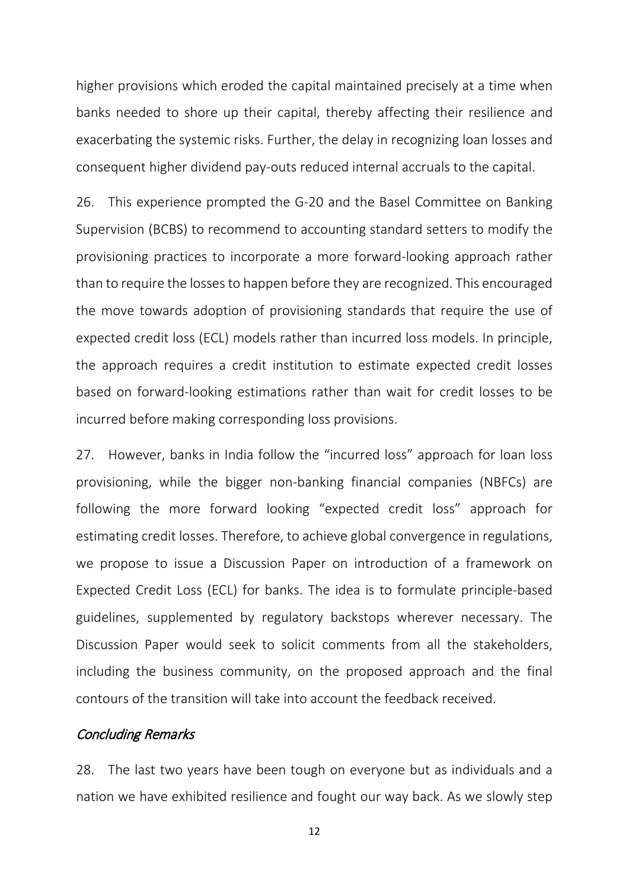higher provisions which eroded the capital maintained precisely at a time when banks needed to shore up their capital, thereby affecting their resilience and exacerbating the systemic risks. Further, the delay in recognizing loan losses and consequent higher dividend pay-outs reduced internal accruals to the capital.

26. This experience prompted the G-20 and the Basel Committee on Banking Supervision (BCBS) to recommend to accounting standard setters to modify the provisioning practices to incorporate a more forward-looking approach rather than to require the losses to happen before they are recognized. This encouraged the move towards adoption of provisioning standards that require the use of expected credit loss (ECL) models rather than incurred loss models. In principle, the approach requires a credit institution to estimate expected credit losses based on forward-looking estimations rather than wait for credit losses to be incurred before making corresponding loss provisions.

27. However, banks in India follow the "incurred loss" approach for loan loss provisioning, while the bigger non-banking financial companies (NBFCs) are following the more forward looking "expected credit loss" approach for estimating credit losses. Therefore, to achieve global convergence in regulations, we propose to issue a Discussion Paper on introduction of a framework on Expected Credit Loss (ECL) for banks. The idea is to formulate principle-based guidelines, supplemented by regulatory backstops wherever necessary. The Discussion Paper would seek to solicit comments from all the stakeholders, including the business community, on the proposed approach and the final contours of the transition will take into account the feedback received.

### Concluding Remarks

28. The last two years have been tough on everyone but as individuals and a nation we have exhibited resilience and fought our way back. As we slowly step